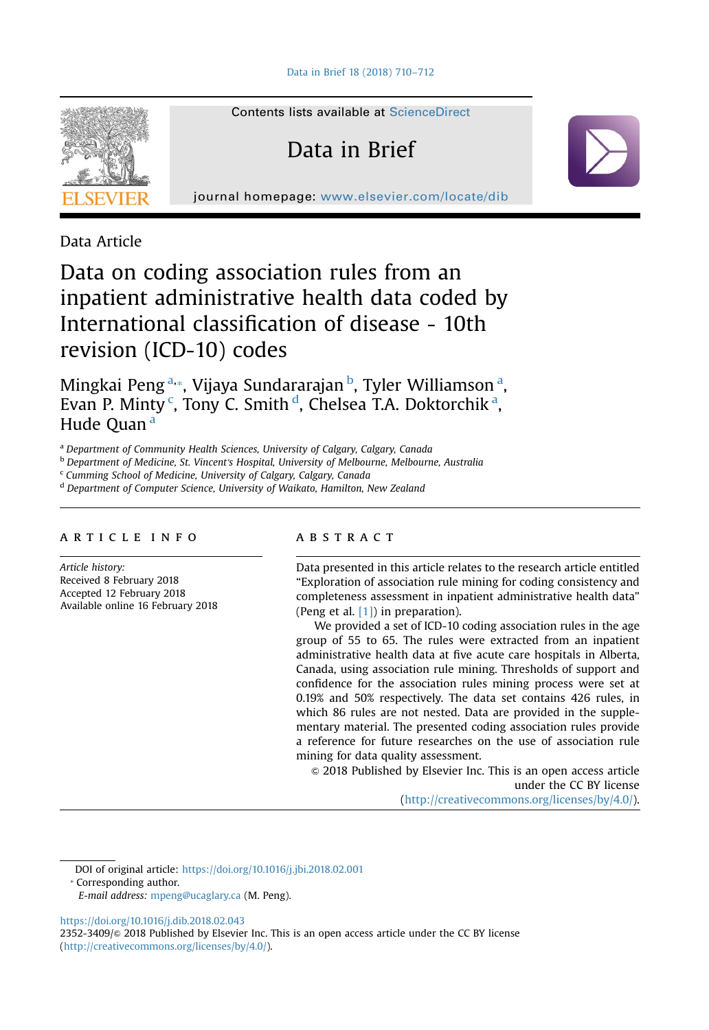

Contents lists available at [ScienceDirect](www.sciencedirect.com/science/journal/23523409)

# Data in Brief

journal homepage: <www.elsevier.com/locate/dib>

Data Article

## Data on coding association rules from an inpatient administrative health data coded by International classification of disease - 10th revision (ICD-10) codes

Mingkai Peng<sup>a,</sup>\*, Vijaya Sundararajan <sup>b</sup>, Tyler Williamson <sup>a</sup>, Evan P. Minty<sup>c</sup>, Tony C. Smith<sup>d</sup>, Chelsea T.A. Doktorchik<sup>a</sup>, Hude Quan<sup>a</sup>

a Department of Community Health Sciences, University of Calgary, Calgary, Canada

**b** Department of Medicine, St. Vincent's Hospital, University of Melbourne, Melbourne, Australia

<sup>c</sup> Cumming School of Medicine, University of Calgary, Calgary, Canada

<sup>d</sup> Department of Computer Science, University of Waikato, Hamilton, New Zealand

## article info

Article history: Received 8 February 2018 Accepted 12 February 2018 Available online 16 February 2018

## **ABSTRACT**

Data presented in this article relates to the research article entitled "Exploration of association rule mining for coding consistency and completeness assessment in inpatient administrative health data" (Peng et al. [\[1\]](#page-2-0)) in preparation).

We provided a set of ICD-10 coding association rules in the age group of 55 to 65. The rules were extracted from an inpatient administrative health data at five acute care hospitals in Alberta, Canada, using association rule mining. Thresholds of support and confidence for the association rules mining process were set at 0.19% and 50% respectively. The data set contains 426 rules, in which 86 rules are not nested. Data are provided in the supplementary material. The presented coding association rules provide a reference for future researches on the use of association rule mining for data quality assessment.

 $\odot$  2018 Published by Elsevier Inc. This is an open access article under the CC BY license (http://creativecommons.org/licenses/by/4.0/).

DOI of original article: [https://doi.org/10.1016/j.jbi.2018.02.001](http://dx.doi.org/10.1016/j.jbi.2018.02.001)

<https://doi.org/10.1016/j.dib.2018.02.043>

2352-3409/ $\circ$  2018 Published by Elsevier Inc. This is an open access article under the CC BY license (http://creativecommons.org/licenses/by/4.0/).

<sup>⁎</sup> Corresponding author.

E-mail address: [mpeng@ucaglary.ca](mailto:mpeng@ucaglary.ca) (M. Peng).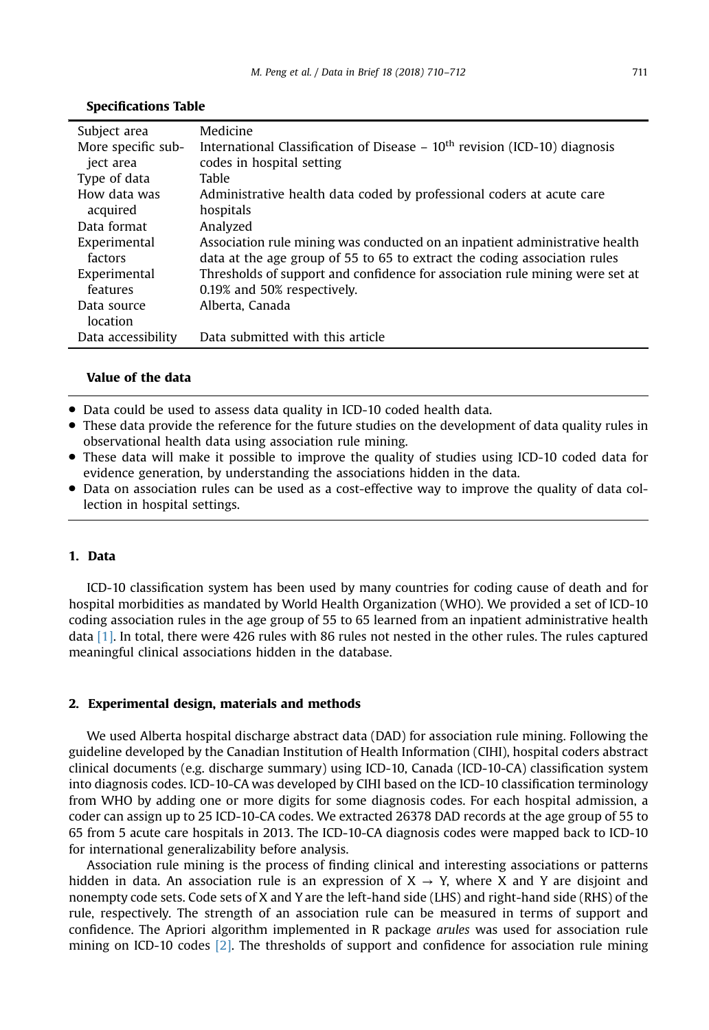#### Specifications Table

| Subject area       | Medicine                                                                       |
|--------------------|--------------------------------------------------------------------------------|
| More specific sub- | International Classification of Disease $-10^{th}$ revision (ICD-10) diagnosis |
| ject area          | codes in hospital setting                                                      |
| Type of data       | Table                                                                          |
| How data was       | Administrative health data coded by professional coders at acute care          |
| acquired           | hospitals                                                                      |
| Data format        | Analyzed                                                                       |
| Experimental       | Association rule mining was conducted on an inpatient administrative health    |
| factors            | data at the age group of 55 to 65 to extract the coding association rules      |
| Experimental       | Thresholds of support and confidence for association rule mining were set at   |
| features           | 0.19% and 50% respectively.                                                    |
| Data source        | Alberta, Canada                                                                |
| location           |                                                                                |
| Data accessibility | Data submitted with this article                                               |

## Value of the data

- Data could be used to assess data quality in ICD-10 coded health data.
- These data provide the reference for the future studies on the development of data quality rules in observational health data using association rule mining.
- These data will make it possible to improve the quality of studies using ICD-10 coded data for evidence generation, by understanding the associations hidden in the data.
- Data on association rules can be used as a cost-effective way to improve the quality of data collection in hospital settings.

## 1. Data

ICD-10 classification system has been used by many countries for coding cause of death and for hospital morbidities as mandated by World Health Organization (WHO). We provided a set of ICD-10 coding association rules in the age group of 55 to 65 learned from an inpatient administrative health data [\[1\].](#page-2-0) In total, there were 426 rules with 86 rules not nested in the other rules. The rules captured meaningful clinical associations hidden in the database.

## 2. Experimental design, materials and methods

We used Alberta hospital discharge abstract data (DAD) for association rule mining. Following the guideline developed by the Canadian Institution of Health Information (CIHI), hospital coders abstract clinical documents (e.g. discharge summary) using ICD-10, Canada (ICD-10-CA) classification system into diagnosis codes. ICD-10-CA was developed by CIHI based on the ICD-10 classification terminology from WHO by adding one or more digits for some diagnosis codes. For each hospital admission, a coder can assign up to 25 ICD-10-CA codes. We extracted 26378 DAD records at the age group of 55 to 65 from 5 acute care hospitals in 2013. The ICD-10-CA diagnosis codes were mapped back to ICD-10 for international generalizability before analysis.

Association rule mining is the process of finding clinical and interesting associations or patterns hidden in data. An association rule is an expression of  $X \rightarrow Y$ , where X and Y are disjoint and nonempty code sets. Code sets of X and Y are the left-hand side (LHS) and right-hand side (RHS) of the rule, respectively. The strength of an association rule can be measured in terms of support and confidence. The Apriori algorithm implemented in R package arules was used for association rule mining on ICD-10 codes [\[2\].](#page-2-0) The thresholds of support and confidence for association rule mining